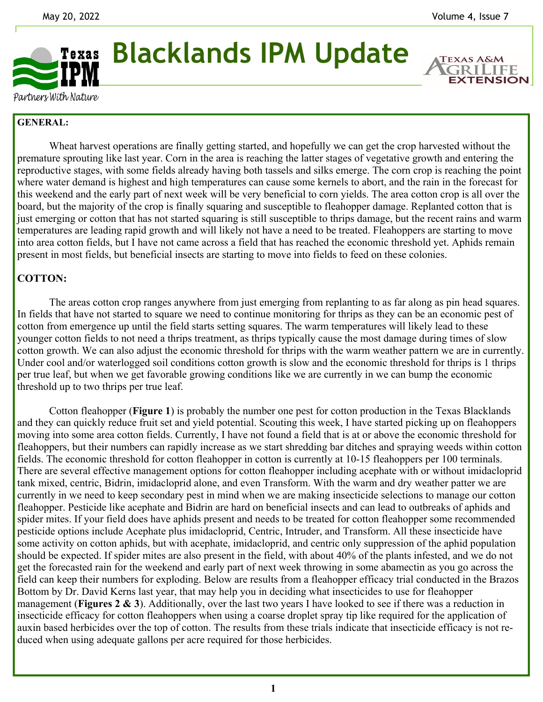**EXTENSION** 



**Blacklands IPM Update** 

Partners With Nature

## **GENERAL:**

Wheat harvest operations are finally getting started, and hopefully we can get the crop harvested without the premature sprouting like last year. Corn in the area is reaching the latter stages of vegetative growth and entering the reproductive stages, with some fields already having both tassels and silks emerge. The corn crop is reaching the point where water demand is highest and high temperatures can cause some kernels to abort, and the rain in the forecast for this weekend and the early part of next week will be very beneficial to corn yields. The area cotton crop is all over the board, but the majority of the crop is finally squaring and susceptible to fleahopper damage. Replanted cotton that is just emerging or cotton that has not started squaring is still susceptible to thrips damage, but the recent rains and warm temperatures are leading rapid growth and will likely not have a need to be treated. Fleahoppers are starting to move into area cotton fields, but I have not came across a field that has reached the economic threshold yet. Aphids remain present in most fields, but beneficial insects are starting to move into fields to feed on these colonies.

## **COTTON:**

 The areas cotton crop ranges anywhere from just emerging from replanting to as far along as pin head squares. In fields that have not started to square we need to continue monitoring for thrips as they can be an economic pest of cotton from emergence up until the field starts setting squares. The warm temperatures will likely lead to these younger cotton fields to not need a thrips treatment, as thrips typically cause the most damage during times of slow cotton growth. We can also adjust the economic threshold for thrips with the warm weather pattern we are in currently. Under cool and/or waterlogged soil conditions cotton growth is slow and the economic threshold for thrips is 1 thrips per true leaf, but when we get favorable growing conditions like we are currently in we can bump the economic threshold up to two thrips per true leaf.

 Cotton fleahopper (**Figure 1**) is probably the number one pest for cotton production in the Texas Blacklands and they can quickly reduce fruit set and yield potential. Scouting this week, I have started picking up on fleahoppers moving into some area cotton fields. Currently, I have not found a field that is at or above the economic threshold for fleahoppers, but their numbers can rapidly increase as we start shredding bar ditches and spraying weeds within cotton fields. The economic threshold for cotton fleahopper in cotton is currently at 10-15 fleahoppers per 100 terminals. There are several effective management options for cotton fleahopper including acephate with or without imidacloprid tank mixed, centric, Bidrin, imidacloprid alone, and even Transform. With the warm and dry weather patter we are currently in we need to keep secondary pest in mind when we are making insecticide selections to manage our cotton fleahopper. Pesticide like acephate and Bidrin are hard on beneficial insects and can lead to outbreaks of aphids and spider mites. If your field does have aphids present and needs to be treated for cotton fleahopper some recommended pesticide options include Acephate plus imidacloprid, Centric, Intruder, and Transform. All these insecticide have some activity on cotton aphids, but with acephate, imidacloprid, and centric only suppression of the aphid population should be expected. If spider mites are also present in the field, with about 40% of the plants infested, and we do not get the forecasted rain for the weekend and early part of next week throwing in some abamectin as you go across the field can keep their numbers for exploding. Below are results from a fleahopper efficacy trial conducted in the Brazos Bottom by Dr. David Kerns last year, that may help you in deciding what insecticides to use for fleahopper management (**Figures 2 & 3**). Additionally, over the last two years I have looked to see if there was a reduction in insecticide efficacy for cotton fleahoppers when using a coarse droplet spray tip like required for the application of auxin based herbicides over the top of cotton. The results from these trials indicate that insecticide efficacy is not reduced when using adequate gallons per acre required for those herbicides.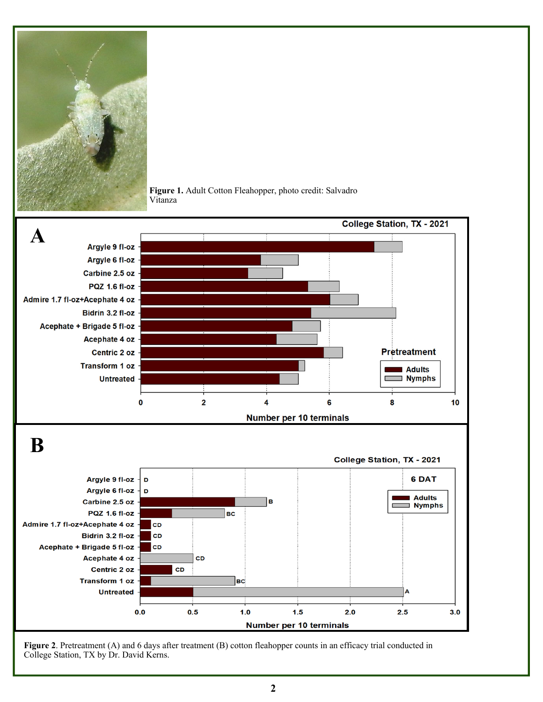



**Figure 1.** Adult Cotton Fleahopper, photo credit: Salvadro Vitanza

**Figure 2**. Pretreatment (A) and 6 days after treatment (B) cotton fleahopper counts in an efficacy trial conducted in College Station, TX by Dr. David Kerns.